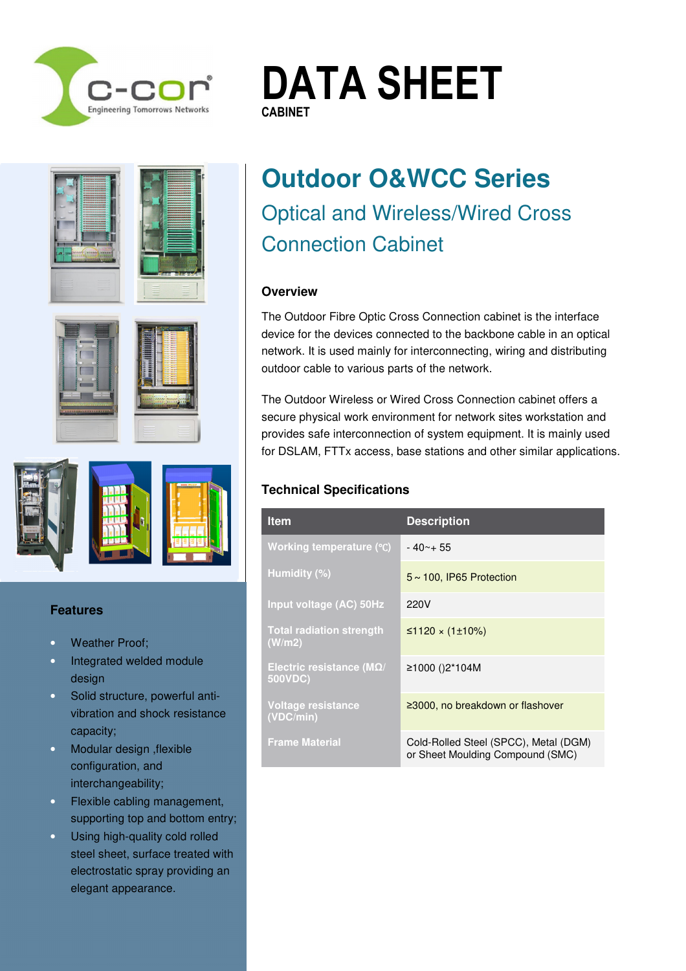







#### **Features**

- Weather Proof:
- Integrated welded module design
- Solid structure, powerful antivibration and shock resistance capacity;
- Modular design ,flexible configuration, and interchangeability;
- Flexible cabling management, supporting top and bottom entry;
- · Using high-quality cold rolled steel sheet, surface treated with electrostatic spray providing an elegant appearance.

# **Outdoor O&WCC Series**  Optical and Wireless/Wired Cross Connection Cabinet

**DATA SHEET**

#### **Overview**

**CABINET CABINET**

The Outdoor Fibre Optic Cross Connection cabinet is the interface device for the devices connected to the backbone cable in an optical network. It is used mainly for interconnecting, wiring and distributing outdoor cable to various parts of the network.

The Outdoor Wireless or Wired Cross Connection cabinet offers a secure physical work environment for network sites workstation and provides safe interconnection of system equipment. It is mainly used for DSLAM, FTTx access, base stations and other similar applications.

#### **Technical Specifications**

CCOR\_DS\_OCC\_OutdoorCabinet\_1.0f.docx DRAFT ISSUE Page **1** of **4**

| <b>Item</b>                                  | <b>Description</b>                                                        |
|----------------------------------------------|---------------------------------------------------------------------------|
| Working temperature (°C)                     | $-40 - +55$                                                               |
| Humidity (%)                                 | $5 \sim 100$ , IP65 Protection                                            |
| Input voltage (AC) 50Hz                      | 220V                                                                      |
| <b>Total radiation strength</b><br>(W/m2)    | ≤1120 × (1±10%)                                                           |
| Electric resistance ( $M\Omega$ /<br>500VDC) | ≥1000 ()2*104M                                                            |
| Voltage resistance<br>(VDC/min)              | $\geq$ 3000, no breakdown or flashover                                    |
| <b>Frame Material</b>                        | Cold-Rolled Steel (SPCC), Metal (DGM)<br>or Sheet Moulding Compound (SMC) |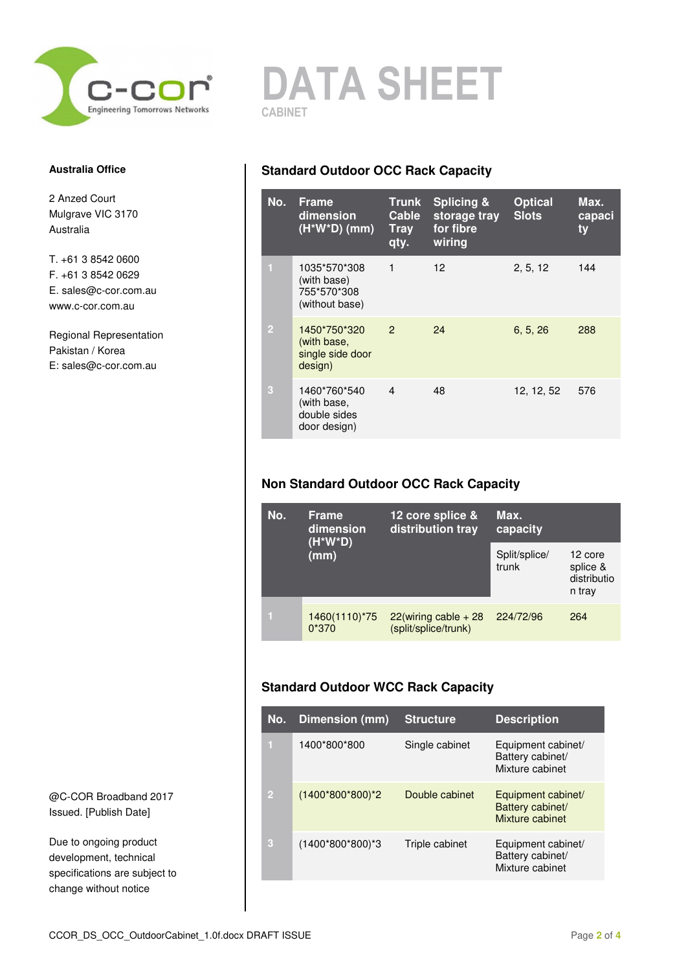

#### **Australia Office**

2 Anzed Court Mulgrave VIC 3170 Australia

T. +61 3 8542 0600 F. +61 3 8542 0629 E. sales@c-cor.com.au www.c-cor.com.au

Regional Representation Pakistan / Korea E: sales@c-cor.com.au

@C-COR Broadband 2017 Issued. [Publish Date]

Due to ongoing product development, technical specifications are subject to change without notice

## **DATA SHEET CABINET**

## **Standard Outdoor OCC Rack Capacity**

| No.            | <b>Frame</b><br>dimension<br>$(H^*W^*D)$ (mm)                | <b>Trunk</b><br>Cable<br><b>Tray</b><br>qty. | <b>Splicing &amp;</b><br>storage tray<br>for fibre<br>wiring | <b>Optical</b><br><b>Slots</b> | Max.<br>capaci<br>ty |
|----------------|--------------------------------------------------------------|----------------------------------------------|--------------------------------------------------------------|--------------------------------|----------------------|
| П              | 1035*570*308<br>(with base)<br>755*570*308<br>(without base) | $\mathbf{1}$                                 | 12 <sup>2</sup>                                              | 2, 5, 12                       | 144                  |
| $\overline{2}$ | 1450*750*320<br>(with base,<br>single side door<br>design)   | $\overline{2}$                               | 24                                                           | 6, 5, 26                       | 288                  |
| 3              | 1460*760*540<br>(with base,<br>double sides<br>door design)  | $\overline{4}$                               | 48                                                           | 12, 12, 52                     | 576                  |

## **Non Standard Outdoor OCC Rack Capacity**

| No. | 12 core splice &<br><b>Frame</b><br>distribution tray<br>dimension |                                                 | Max.<br>capacity       |                                              |
|-----|--------------------------------------------------------------------|-------------------------------------------------|------------------------|----------------------------------------------|
|     | $(H^*W^*D)$<br>(mm)                                                |                                                 | Split/splice/<br>trunk | 12 core<br>splice &<br>distributio<br>n trav |
|     | 1460(1110)*75<br>$0*370$                                           | $22(wiring cable + 28)$<br>(split/splice/trunk) | 224/72/96              | 264                                          |

## **Standard Outdoor WCC Rack Capacity**

| No.            | Dimension (mm)   | <b>Structure</b> | <b>Description</b>                                        |
|----------------|------------------|------------------|-----------------------------------------------------------|
| п              | 1400*800*800     | Single cabinet   | Equipment cabinet/<br>Battery cabinet/<br>Mixture cabinet |
| $\overline{2}$ | (1400*800*800)*2 | Double cabinet   | Equipment cabinet/<br>Battery cabinet/<br>Mixture cabinet |
| 3              | (1400*800*800)*3 | Triple cabinet   | Equipment cabinet/<br>Battery cabinet/<br>Mixture cabinet |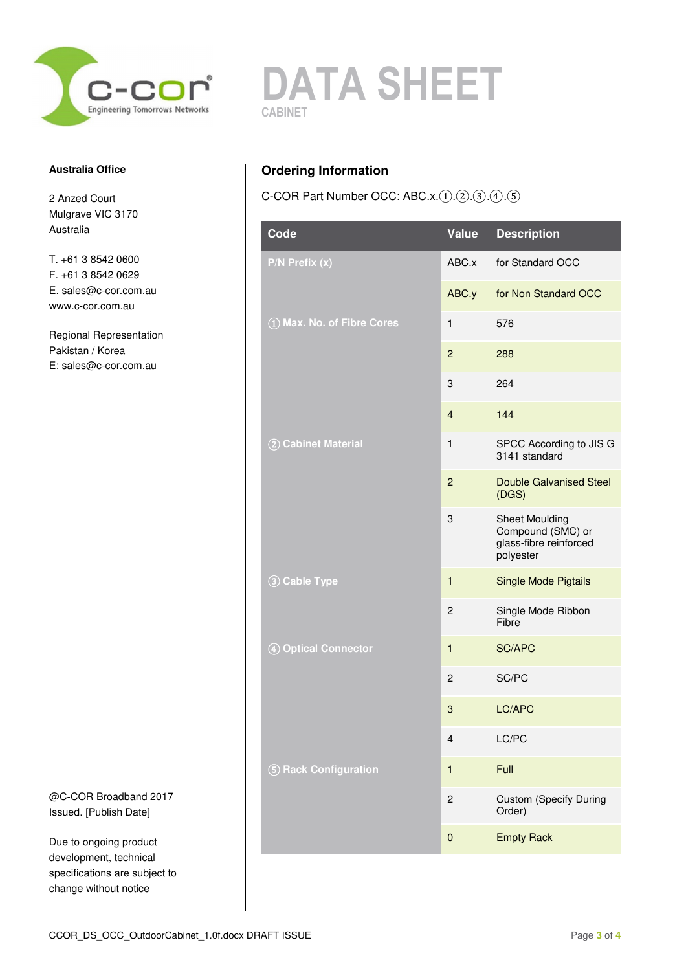

#### **Australia Office**

2 Anzed Court Mulgrave VIC 3170 Australia

T. +61 3 8542 0600 F. +61 3 8542 0629 E. sales@c-cor.com.au www.c-cor.com.au

Regional Representation Pakistan / Korea E: sales@c-cor.com.au

@C-COR Broadband 2017 Issued. [Publish Date]

Due to ongoing product development, technical specifications are subject to change without notice



## **Ordering Information**

C-COR Part Number OCC: ABC.x.(1).(2).(3).(4).(5)

| Code                       | Value          | <b>Description</b>                                                                |
|----------------------------|----------------|-----------------------------------------------------------------------------------|
| P/N Prefix (x)             | ABC.x          | for Standard OCC                                                                  |
|                            | ABC.y          | for Non Standard OCC                                                              |
| 1) Max. No. of Fibre Cores | $\mathbf{1}$   | 576                                                                               |
|                            | $\overline{c}$ | 288                                                                               |
|                            | 3              | 264                                                                               |
|                            | $\overline{4}$ | 144                                                                               |
| 2 Cabinet Material         | $\mathbf{1}$   | SPCC According to JIS G<br>3141 standard                                          |
|                            | $\overline{2}$ | <b>Double Galvanised Steel</b><br>(DGS)                                           |
|                            | 3              | <b>Sheet Moulding</b><br>Compound (SMC) or<br>glass-fibre reinforced<br>polyester |
| 3 Cable Type               | 1              | <b>Single Mode Pigtails</b>                                                       |
|                            | $\overline{c}$ | Single Mode Ribbon<br>Fibre                                                       |
| 4 Optical Connector        | $\mathbf{1}$   | <b>SC/APC</b>                                                                     |
|                            | 2              | SC/PC                                                                             |
|                            | 3              | LC/APC                                                                            |
|                            | 4              | LC/PC                                                                             |
| 5 Rack Configuration       | $\mathbf{1}$   | Full                                                                              |
|                            | $\overline{c}$ | <b>Custom (Specify During</b><br>Order)                                           |
|                            | 0              | <b>Empty Rack</b>                                                                 |